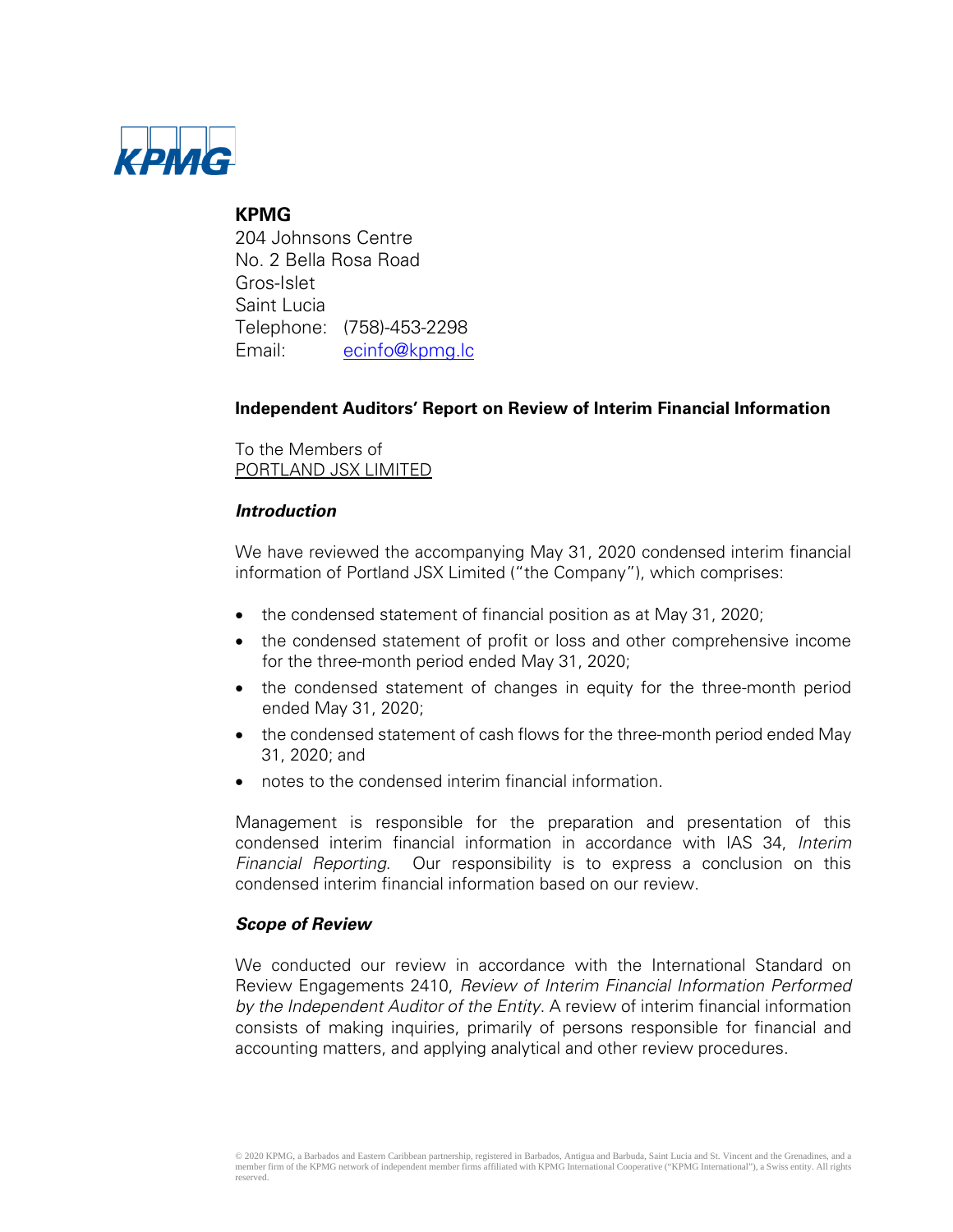

# **KPMG**

204 Johnsons Centre No. 2 Bella Rosa Road Gros-Islet Saint Lucia Telephone: (758)-453-2298 Email: ecinfo@kpmg.lc

# **Independent Auditors' Report on Review of Interim Financial Information**

To the Members of PORTLAND JSX LIMITED

# **Introduction**

We have reviewed the accompanying May 31, 2020 condensed interim financial information of Portland JSX Limited ("the Company"), which comprises:

- the condensed statement of financial position as at May 31, 2020;
- the condensed statement of profit or loss and other comprehensive income for the three-month period ended May 31, 2020;
- the condensed statement of changes in equity for the three-month period ended May 31, 2020;
- the condensed statement of cash flows for the three-month period ended May 31, 2020; and
- notes to the condensed interim financial information.

Management is responsible for the preparation and presentation of this condensed interim financial information in accordance with IAS 34, Interim Financial Reporting. Our responsibility is to express a conclusion on this condensed interim financial information based on our review.

# **Scope of Review**

We conducted our review in accordance with the International Standard on Review Engagements 2410, Review of Interim Financial Information Performed by the Independent Auditor of the Entity. A review of interim financial information consists of making inquiries, primarily of persons responsible for financial and accounting matters, and applying analytical and other review procedures.

<sup>© 2020</sup> KPMG, a Barbados and Eastern Caribbean partnership, registered in Barbados, Antigua and Barbuda, Saint Lucia and St. Vincent and the Grenadines, and a member firm of the KPMG network of independent member firms affiliated with KPMG International Cooperative ("KPMG International"), a Swiss entity. All rights reserved.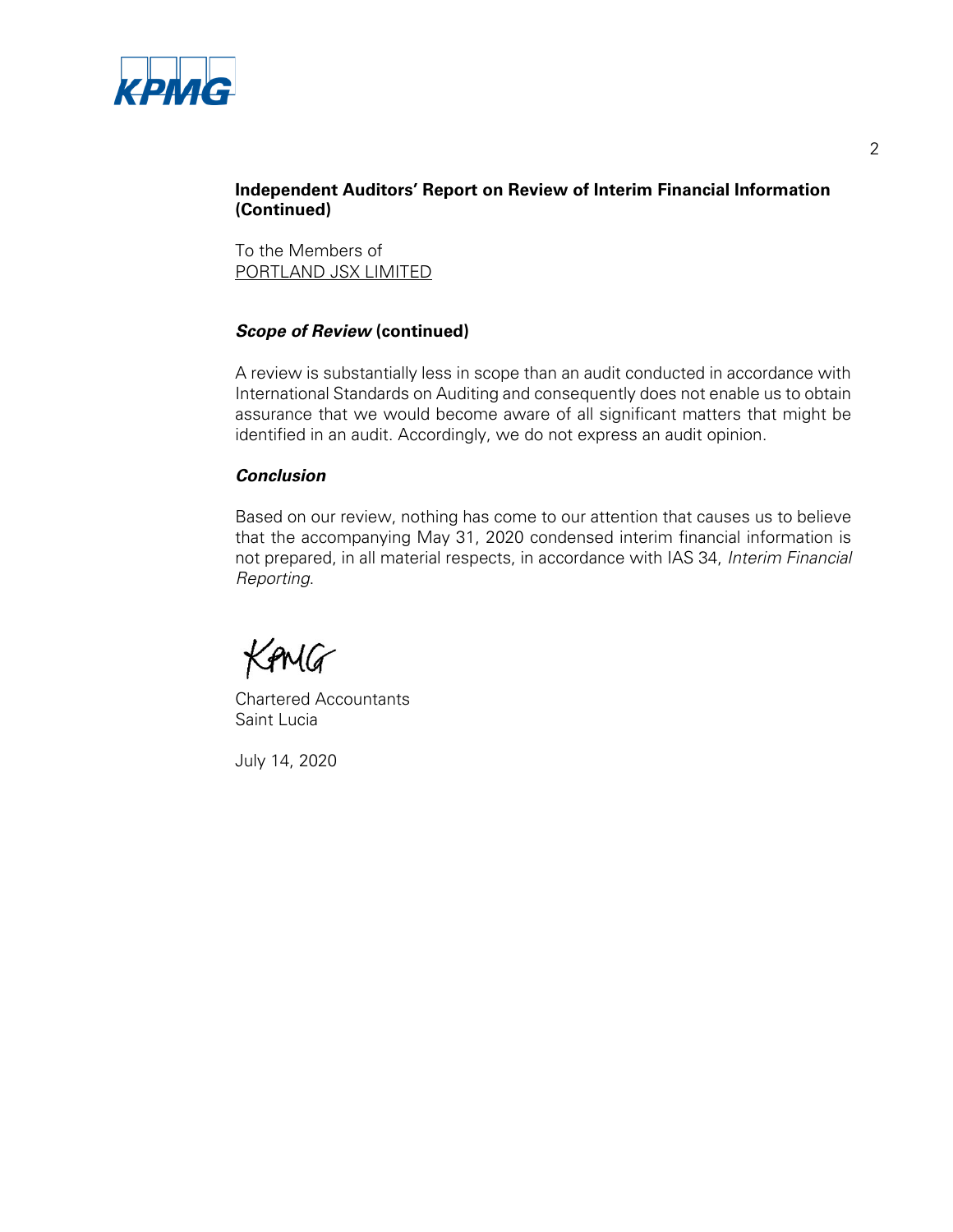

# **Independent Auditors' Report on Review of Interim Financial Information (Continued)**

To the Members of PORTLAND JSX LIMITED

# **Scope of Review (continued)**

A review is substantially less in scope than an audit conducted in accordance with International Standards on Auditing and consequently does not enable us to obtain assurance that we would become aware of all significant matters that might be identified in an audit. Accordingly, we do not express an audit opinion.

# **Conclusion**

Based on our review, nothing has come to our attention that causes us to believe that the accompanying May 31, 2020 condensed interim financial information is not prepared, in all material respects, in accordance with IAS 34, Interim Financial Reporting.

KAMG

Chartered Accountants Saint Lucia

July 14, 2020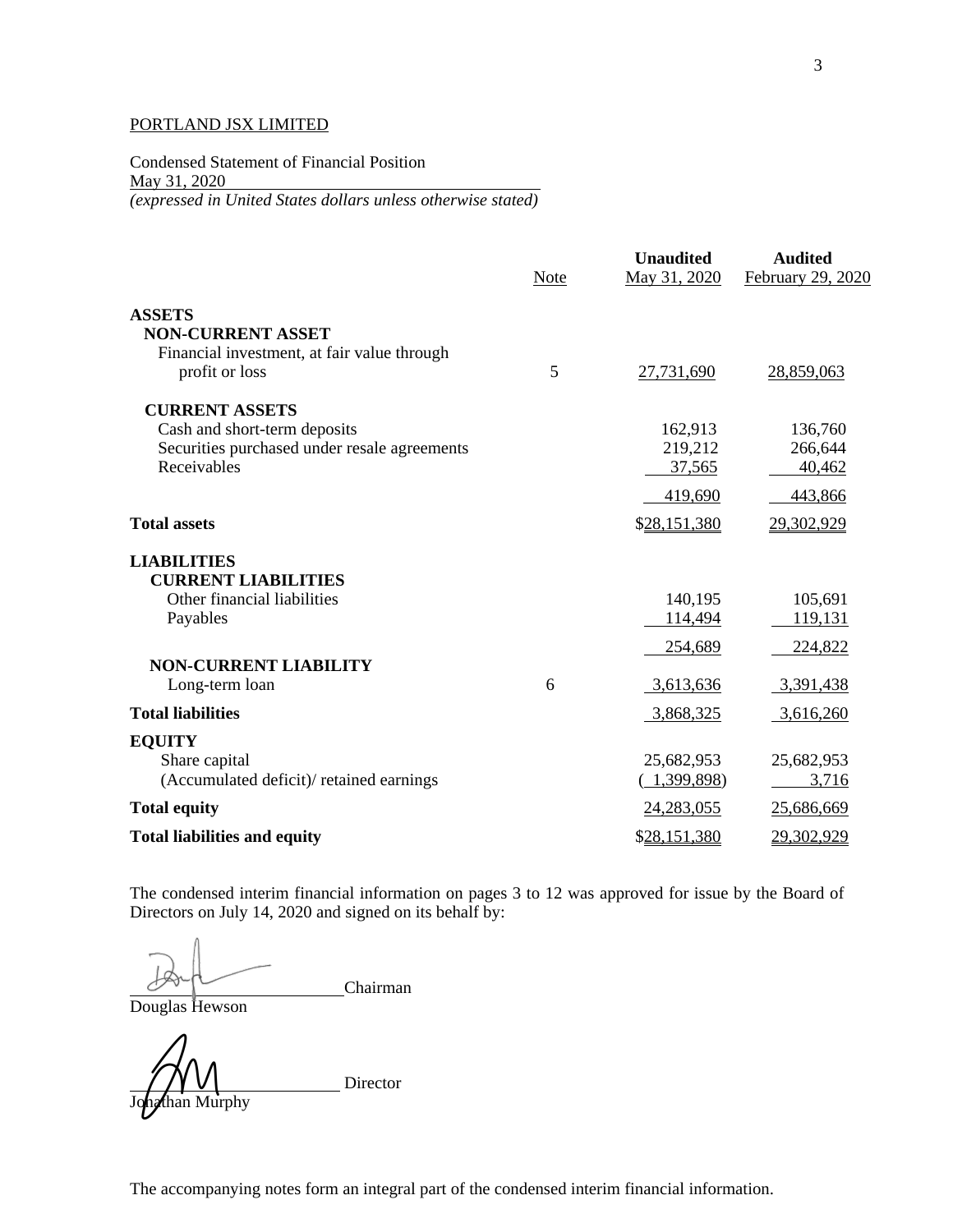Condensed Statement of Financial Position May 31, 2020 *(expressed in United States dollars unless otherwise stated)* 

|                                              | Note | <b>Unaudited</b><br>May 31, 2020 | <b>Audited</b><br>February 29, 2020 |
|----------------------------------------------|------|----------------------------------|-------------------------------------|
| <b>ASSETS</b>                                |      |                                  |                                     |
| <b>NON-CURRENT ASSET</b>                     |      |                                  |                                     |
| Financial investment, at fair value through  |      |                                  |                                     |
| profit or loss                               | 5    | 27,731,690                       | 28,859,063                          |
| <b>CURRENT ASSETS</b>                        |      |                                  |                                     |
| Cash and short-term deposits                 |      | 162,913                          | 136,760                             |
| Securities purchased under resale agreements |      | 219,212                          | 266,644                             |
| Receivables                                  |      | 37,565                           | 40,462                              |
|                                              |      | 419,690                          | 443,866                             |
| <b>Total assets</b>                          |      | \$28,151,380                     | 29,302,929                          |
| <b>LIABILITIES</b>                           |      |                                  |                                     |
| <b>CURRENT LIABILITIES</b>                   |      |                                  |                                     |
| Other financial liabilities                  |      | 140,195                          | 105,691                             |
| Payables                                     |      | 114,494                          | 119,131                             |
|                                              |      | 254,689                          | 224,822                             |
| <b>NON-CURRENT LIABILITY</b>                 |      |                                  |                                     |
| Long-term loan                               | 6    | 3,613,636                        | 3,391,438                           |
| <b>Total liabilities</b>                     |      | 3,868,325                        | 3,616,260                           |
| <b>EQUITY</b>                                |      |                                  |                                     |
| Share capital                                |      | 25,682,953                       | 25,682,953                          |
| (Accumulated deficit)/retained earnings      |      | 1,399,898)                       | 3,716                               |
| <b>Total equity</b>                          |      | 24,283,055                       | 25,686,669                          |
| <b>Total liabilities and equity</b>          |      | \$28,151,380                     | 29,302,929                          |

The condensed interim financial information on pages 3 to 12 was approved for issue by the Board of Directors on July 14, 2020 and signed on its behalf by:

Chairman

Douglas Hewson

than Murphy

Director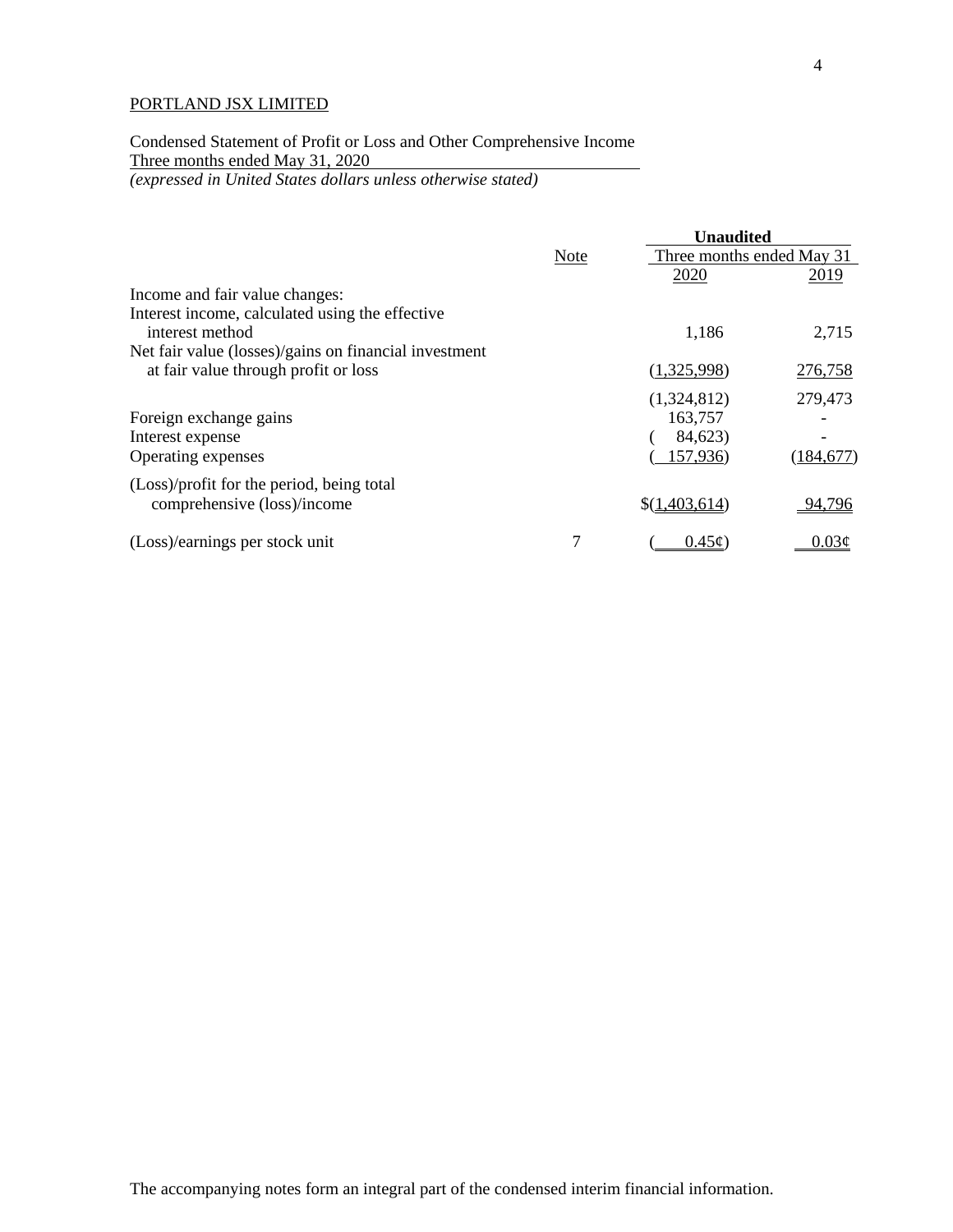Condensed Statement of Profit or Loss and Other Comprehensive Income Three months ended May 31, 2020 *(expressed in United States dollars unless otherwise stated)*

|                                                                    |             | <b>Unaudited</b>          |            |
|--------------------------------------------------------------------|-------------|---------------------------|------------|
|                                                                    | <b>Note</b> | Three months ended May 31 |            |
|                                                                    |             | 2020                      | 2019       |
| Income and fair value changes:                                     |             |                           |            |
| Interest income, calculated using the effective<br>interest method |             | 1,186                     | 2,715      |
| Net fair value (losses)/gains on financial investment              |             |                           |            |
| at fair value through profit or loss                               |             | (1,325,998)               | 276,758    |
|                                                                    |             | (1,324,812)               | 279,473    |
| Foreign exchange gains                                             |             | 163,757                   |            |
| Interest expense                                                   |             | 84,623)                   |            |
| Operating expenses                                                 |             | 157,936)                  | (184, 677) |
| (Loss)/profit for the period, being total                          |             |                           |            |
| comprehensive (loss)/income                                        |             | \$(1,403,614)             | 94,796     |
| (Loss)/earnings per stock unit                                     |             | $0.45\epsilon$            | $0.03\phi$ |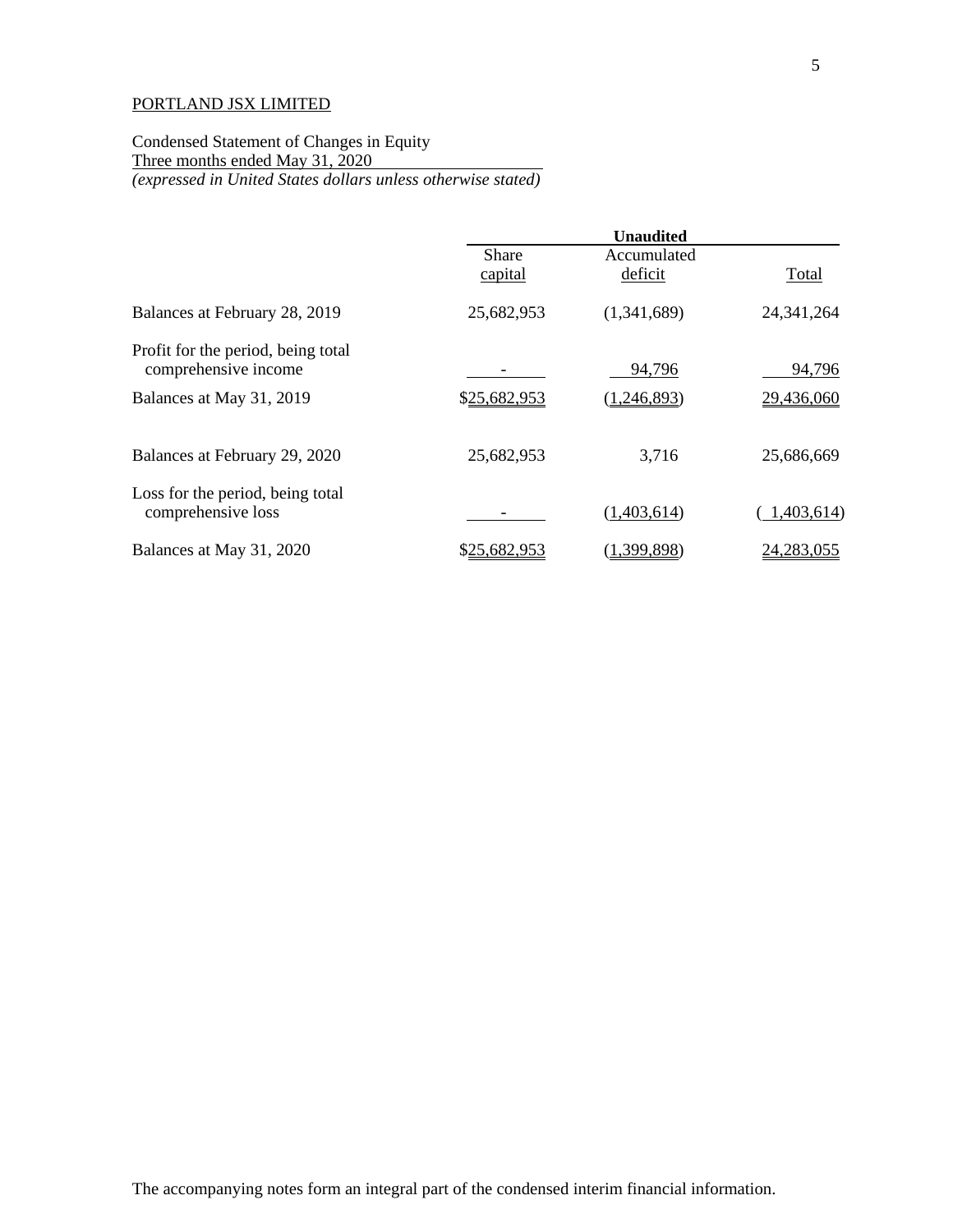Condensed Statement of Changes in Equity Three months ended May 31, 2020 *(expressed in United States dollars unless otherwise stated)*

|                                                            |                         | <b>Unaudited</b>       |              |
|------------------------------------------------------------|-------------------------|------------------------|--------------|
|                                                            | <b>Share</b><br>capital | Accumulated<br>deficit | Total        |
| Balances at February 28, 2019                              | 25,682,953              | (1,341,689)            | 24, 341, 264 |
| Profit for the period, being total<br>comprehensive income |                         | 94,796                 | 94,796       |
| Balances at May 31, 2019                                   | \$25,682,953            | (1,246,893)            | 29,436,060   |
| Balances at February 29, 2020                              | 25,682,953              | 3,716                  | 25,686,669   |
| Loss for the period, being total<br>comprehensive loss     |                         | (1,403,614)            | 1,403,614)   |
| Balances at May 31, 2020                                   | \$25,682,953            | (1,399,898)            | 24, 283, 055 |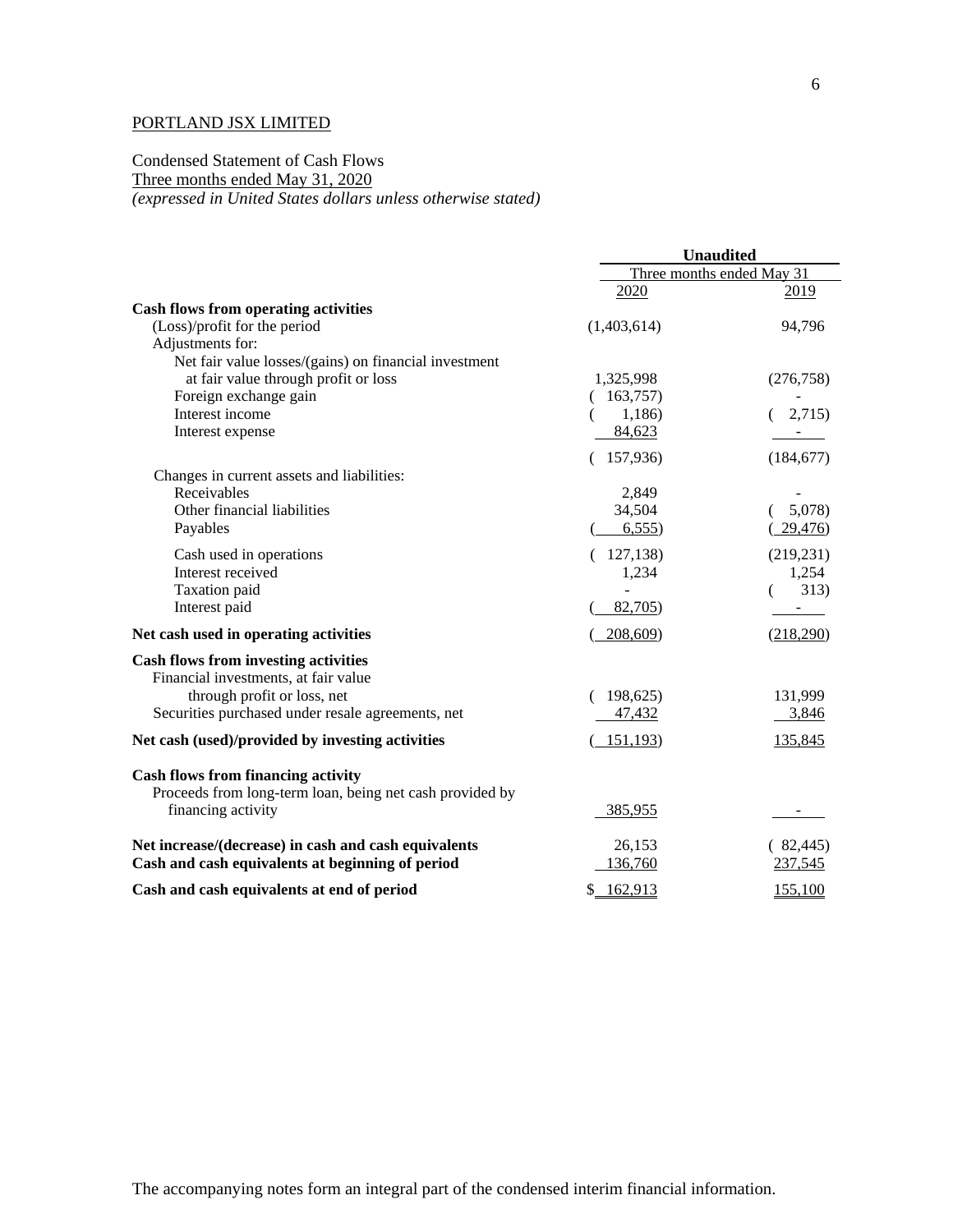### Condensed Statement of Cash Flows Three months ended May 31, 2020 *(expressed in United States dollars unless otherwise stated)*

|                                                          | <b>Unaudited</b> |                           |
|----------------------------------------------------------|------------------|---------------------------|
|                                                          |                  | Three months ended May 31 |
|                                                          | 2020             | 2019                      |
| <b>Cash flows from operating activities</b>              |                  |                           |
| (Loss)/profit for the period                             | (1,403,614)      | 94,796                    |
| Adjustments for:                                         |                  |                           |
| Net fair value losses/(gains) on financial investment    |                  |                           |
| at fair value through profit or loss                     | 1,325,998        | (276, 758)                |
| Foreign exchange gain                                    | (163,757)        |                           |
| Interest income                                          | 1,186)           | (2,715)                   |
| Interest expense                                         | 84,623           |                           |
|                                                          | 157,936)         | (184, 677)                |
| Changes in current assets and liabilities:               |                  |                           |
| Receivables                                              | 2,849            |                           |
| Other financial liabilities                              | 34,504           | 5,078)                    |
| Payables                                                 | 6,555            | 29,476                    |
| Cash used in operations                                  | (127, 138)       | (219, 231)                |
| Interest received                                        | 1,234            | 1,254                     |
| Taxation paid                                            |                  | 313)                      |
| Interest paid                                            | 82,705)          | $\blacksquare$            |
| Net cash used in operating activities                    | 208,609)         | (218,290)                 |
| <b>Cash flows from investing activities</b>              |                  |                           |
| Financial investments, at fair value                     |                  |                           |
| through profit or loss, net                              | 198,625)         | 131,999                   |
| Securities purchased under resale agreements, net        | 47,432           | 3,846                     |
| Net cash (used)/provided by investing activities         | 151,193)         | 135,845                   |
| Cash flows from financing activity                       |                  |                           |
| Proceeds from long-term loan, being net cash provided by |                  |                           |
| financing activity                                       | 385,955          |                           |
| Net increase/(decrease) in cash and cash equivalents     | 26,153           | (82,445)                  |
| Cash and cash equivalents at beginning of period         | 136,760          | 237,545                   |
| Cash and cash equivalents at end of period               | \$162,913        | 155,100                   |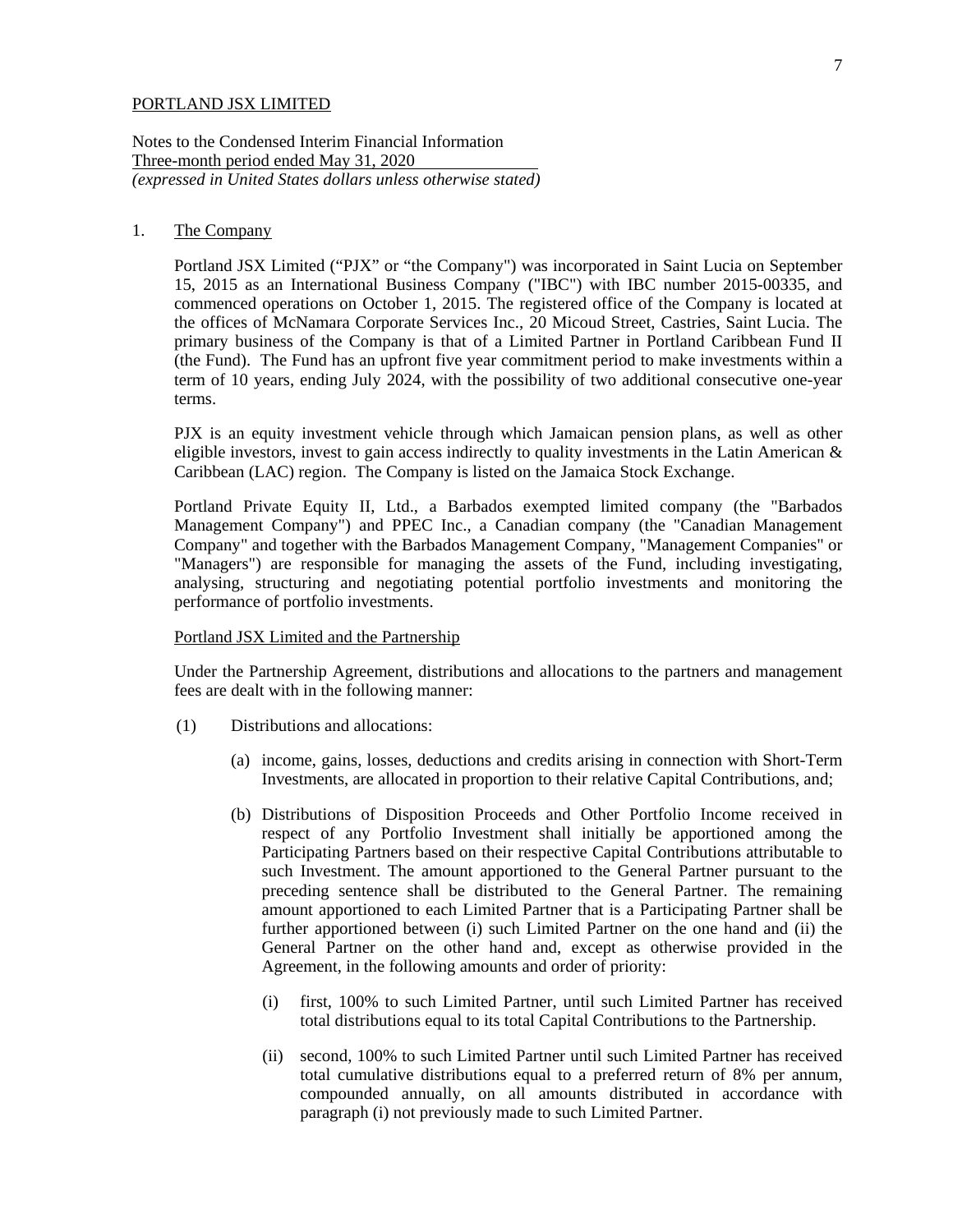Notes to the Condensed Interim Financial Information Three-month period ended May 31, 2020 *(expressed in United States dollars unless otherwise stated)*

### 1. The Company

Portland JSX Limited ("PJX" or "the Company") was incorporated in Saint Lucia on September 15, 2015 as an International Business Company ("IBC") with IBC number 2015-00335, and commenced operations on October 1, 2015. The registered office of the Company is located at the offices of McNamara Corporate Services Inc., 20 Micoud Street, Castries, Saint Lucia. The primary business of the Company is that of a Limited Partner in Portland Caribbean Fund II (the Fund). The Fund has an upfront five year commitment period to make investments within a term of 10 years, ending July 2024, with the possibility of two additional consecutive one-year terms.

PJX is an equity investment vehicle through which Jamaican pension plans, as well as other eligible investors, invest to gain access indirectly to quality investments in the Latin American & Caribbean (LAC) region. The Company is listed on the Jamaica Stock Exchange.

Portland Private Equity II, Ltd., a Barbados exempted limited company (the "Barbados Management Company") and PPEC Inc., a Canadian company (the "Canadian Management Company" and together with the Barbados Management Company, "Management Companies" or "Managers") are responsible for managing the assets of the Fund, including investigating, analysing, structuring and negotiating potential portfolio investments and monitoring the performance of portfolio investments.

#### Portland JSX Limited and the Partnership

Under the Partnership Agreement, distributions and allocations to the partners and management fees are dealt with in the following manner:

- (1) Distributions and allocations:
	- (a) income, gains, losses, deductions and credits arising in connection with Short-Term Investments, are allocated in proportion to their relative Capital Contributions, and;
	- (b) Distributions of Disposition Proceeds and Other Portfolio Income received in respect of any Portfolio Investment shall initially be apportioned among the Participating Partners based on their respective Capital Contributions attributable to such Investment. The amount apportioned to the General Partner pursuant to the preceding sentence shall be distributed to the General Partner. The remaining amount apportioned to each Limited Partner that is a Participating Partner shall be further apportioned between (i) such Limited Partner on the one hand and (ii) the General Partner on the other hand and, except as otherwise provided in the Agreement, in the following amounts and order of priority:
		- (i) first, 100% to such Limited Partner, until such Limited Partner has received total distributions equal to its total Capital Contributions to the Partnership.
		- (ii) second, 100% to such Limited Partner until such Limited Partner has received total cumulative distributions equal to a preferred return of 8% per annum, compounded annually, on all amounts distributed in accordance with paragraph (i) not previously made to such Limited Partner.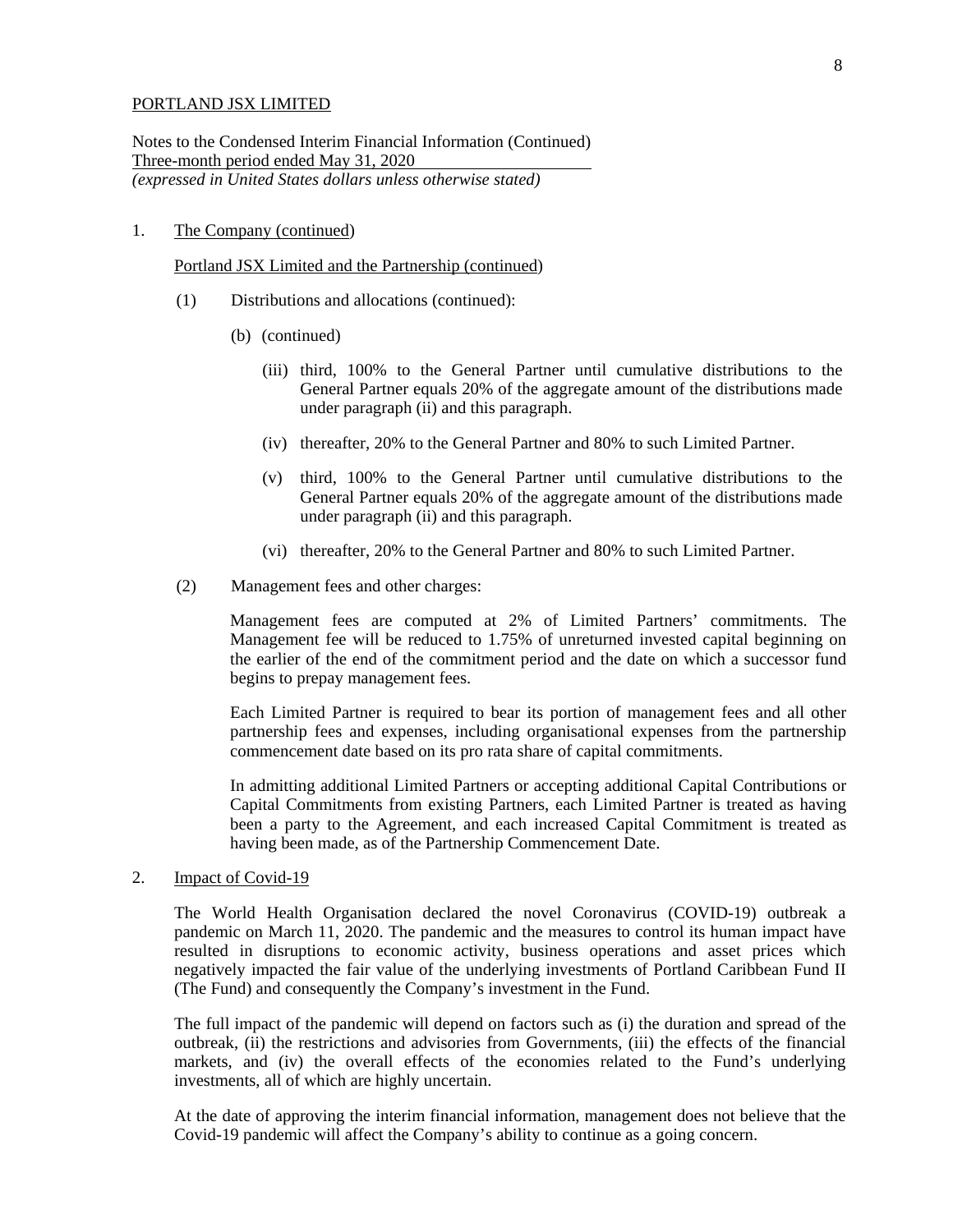Notes to the Condensed Interim Financial Information (Continued) Three-month period ended May 31, 2020 *(expressed in United States dollars unless otherwise stated)*

### 1. The Company (continued)

Portland JSX Limited and the Partnership (continued)

- (1) Distributions and allocations (continued):
	- (b) (continued)
		- (iii) third, 100% to the General Partner until cumulative distributions to the General Partner equals 20% of the aggregate amount of the distributions made under paragraph (ii) and this paragraph.
		- (iv) thereafter, 20% to the General Partner and 80% to such Limited Partner.
		- (v) third, 100% to the General Partner until cumulative distributions to the General Partner equals 20% of the aggregate amount of the distributions made under paragraph (ii) and this paragraph.
		- (vi) thereafter, 20% to the General Partner and 80% to such Limited Partner.
- (2) Management fees and other charges:

Management fees are computed at 2% of Limited Partners' commitments. The Management fee will be reduced to 1.75% of unreturned invested capital beginning on the earlier of the end of the commitment period and the date on which a successor fund begins to prepay management fees.

Each Limited Partner is required to bear its portion of management fees and all other partnership fees and expenses, including organisational expenses from the partnership commencement date based on its pro rata share of capital commitments.

In admitting additional Limited Partners or accepting additional Capital Contributions or Capital Commitments from existing Partners, each Limited Partner is treated as having been a party to the Agreement, and each increased Capital Commitment is treated as having been made, as of the Partnership Commencement Date.

2. Impact of Covid-19

The World Health Organisation declared the novel Coronavirus (COVID-19) outbreak a pandemic on March 11, 2020. The pandemic and the measures to control its human impact have resulted in disruptions to economic activity, business operations and asset prices which negatively impacted the fair value of the underlying investments of Portland Caribbean Fund II (The Fund) and consequently the Company's investment in the Fund.

The full impact of the pandemic will depend on factors such as (i) the duration and spread of the outbreak, (ii) the restrictions and advisories from Governments, (iii) the effects of the financial markets, and (iv) the overall effects of the economies related to the Fund's underlying investments, all of which are highly uncertain.

At the date of approving the interim financial information, management does not believe that the Covid-19 pandemic will affect the Company's ability to continue as a going concern.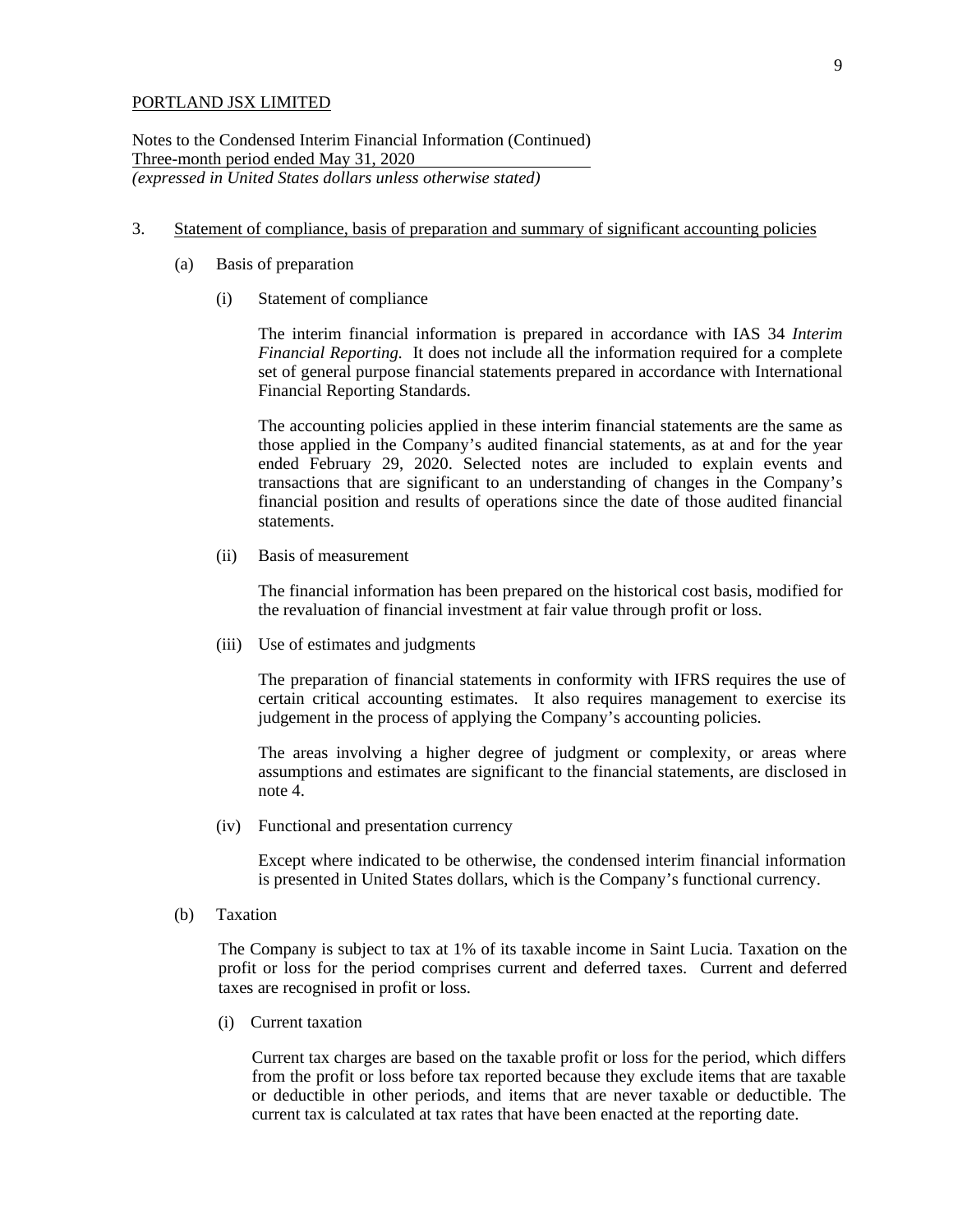Notes to the Condensed Interim Financial Information (Continued) Three-month period ended May 31, 2020 *(expressed in United States dollars unless otherwise stated)*

- 3. Statement of compliance, basis of preparation and summary of significant accounting policies
	- (a) Basis of preparation
		- (i) Statement of compliance

The interim financial information is prepared in accordance with IAS 34 *Interim Financial Reporting.* It does not include all the information required for a complete set of general purpose financial statements prepared in accordance with International Financial Reporting Standards.

The accounting policies applied in these interim financial statements are the same as those applied in the Company's audited financial statements, as at and for the year ended February 29, 2020. Selected notes are included to explain events and transactions that are significant to an understanding of changes in the Company's financial position and results of operations since the date of those audited financial statements.

(ii) Basis of measurement

The financial information has been prepared on the historical cost basis, modified for the revaluation of financial investment at fair value through profit or loss.

(iii) Use of estimates and judgments

The preparation of financial statements in conformity with IFRS requires the use of certain critical accounting estimates. It also requires management to exercise its judgement in the process of applying the Company's accounting policies.

The areas involving a higher degree of judgment or complexity, or areas where assumptions and estimates are significant to the financial statements, are disclosed in note 4.

(iv) Functional and presentation currency

Except where indicated to be otherwise, the condensed interim financial information is presented in United States dollars, which is the Company's functional currency.

(b) Taxation

The Company is subject to tax at 1% of its taxable income in Saint Lucia. Taxation on the profit or loss for the period comprises current and deferred taxes. Current and deferred taxes are recognised in profit or loss.

(i) Current taxation

Current tax charges are based on the taxable profit or loss for the period, which differs from the profit or loss before tax reported because they exclude items that are taxable or deductible in other periods, and items that are never taxable or deductible. The current tax is calculated at tax rates that have been enacted at the reporting date.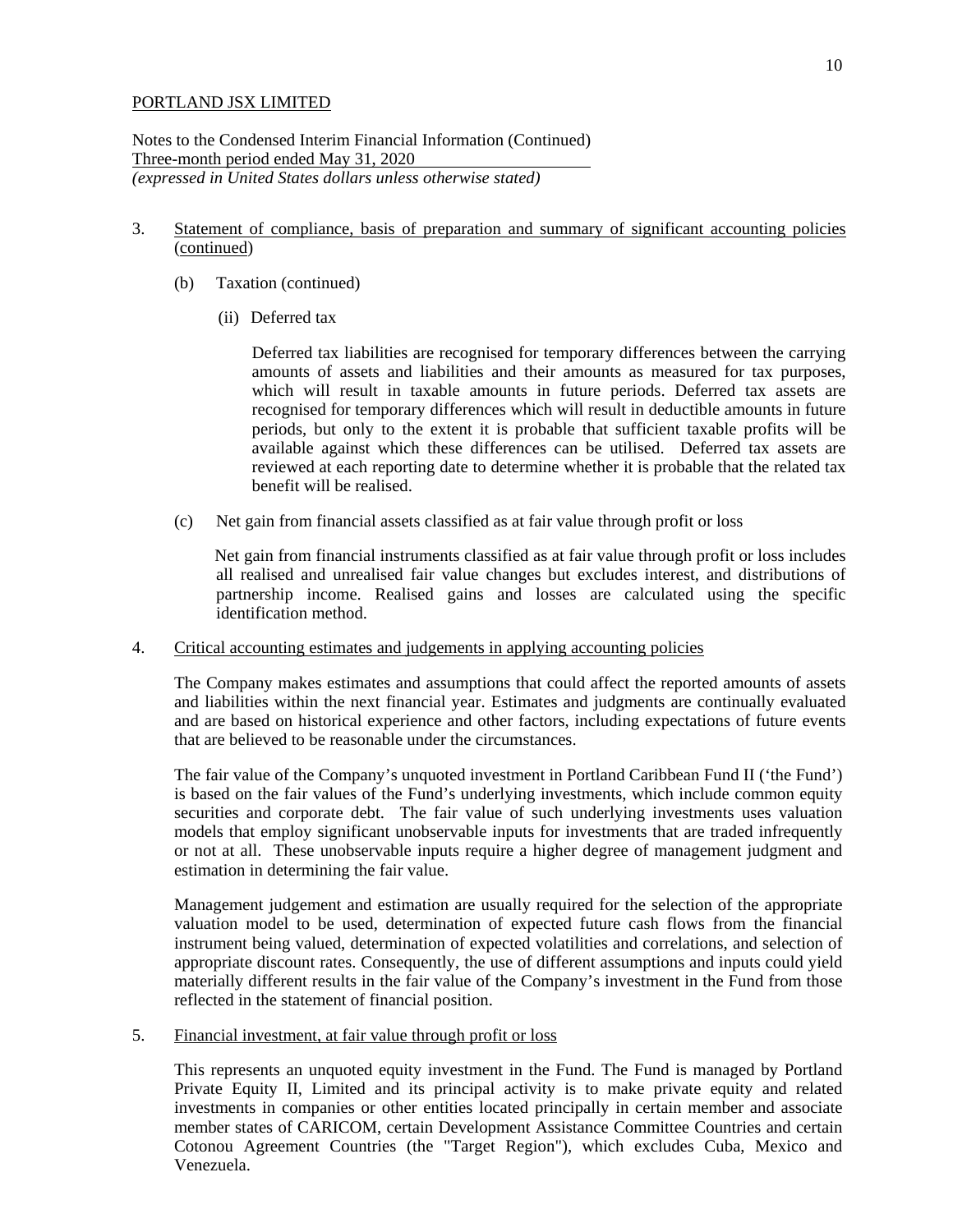Notes to the Condensed Interim Financial Information (Continued) Three-month period ended May 31, 2020 *(expressed in United States dollars unless otherwise stated)*

# 3. Statement of compliance, basis of preparation and summary of significant accounting policies (continued)

- (b) Taxation (continued)
	- (ii) Deferred tax

Deferred tax liabilities are recognised for temporary differences between the carrying amounts of assets and liabilities and their amounts as measured for tax purposes, which will result in taxable amounts in future periods. Deferred tax assets are recognised for temporary differences which will result in deductible amounts in future periods, but only to the extent it is probable that sufficient taxable profits will be available against which these differences can be utilised. Deferred tax assets are reviewed at each reporting date to determine whether it is probable that the related tax benefit will be realised.

(c) Net gain from financial assets classified as at fair value through profit or loss

Net gain from financial instruments classified as at fair value through profit or loss includes all realised and unrealised fair value changes but excludes interest, and distributions of partnership income. Realised gains and losses are calculated using the specific identification method.

### 4. Critical accounting estimates and judgements in applying accounting policies

The Company makes estimates and assumptions that could affect the reported amounts of assets and liabilities within the next financial year. Estimates and judgments are continually evaluated and are based on historical experience and other factors, including expectations of future events that are believed to be reasonable under the circumstances.

The fair value of the Company's unquoted investment in Portland Caribbean Fund II ('the Fund') is based on the fair values of the Fund's underlying investments, which include common equity securities and corporate debt. The fair value of such underlying investments uses valuation models that employ significant unobservable inputs for investments that are traded infrequently or not at all. These unobservable inputs require a higher degree of management judgment and estimation in determining the fair value.

Management judgement and estimation are usually required for the selection of the appropriate valuation model to be used, determination of expected future cash flows from the financial instrument being valued, determination of expected volatilities and correlations, and selection of appropriate discount rates. Consequently, the use of different assumptions and inputs could yield materially different results in the fair value of the Company's investment in the Fund from those reflected in the statement of financial position.

### 5. Financial investment, at fair value through profit or loss

This represents an unquoted equity investment in the Fund. The Fund is managed by Portland Private Equity II, Limited and its principal activity is to make private equity and related investments in companies or other entities located principally in certain member and associate member states of CARICOM, certain Development Assistance Committee Countries and certain Cotonou Agreement Countries (the "Target Region"), which excludes Cuba, Mexico and Venezuela.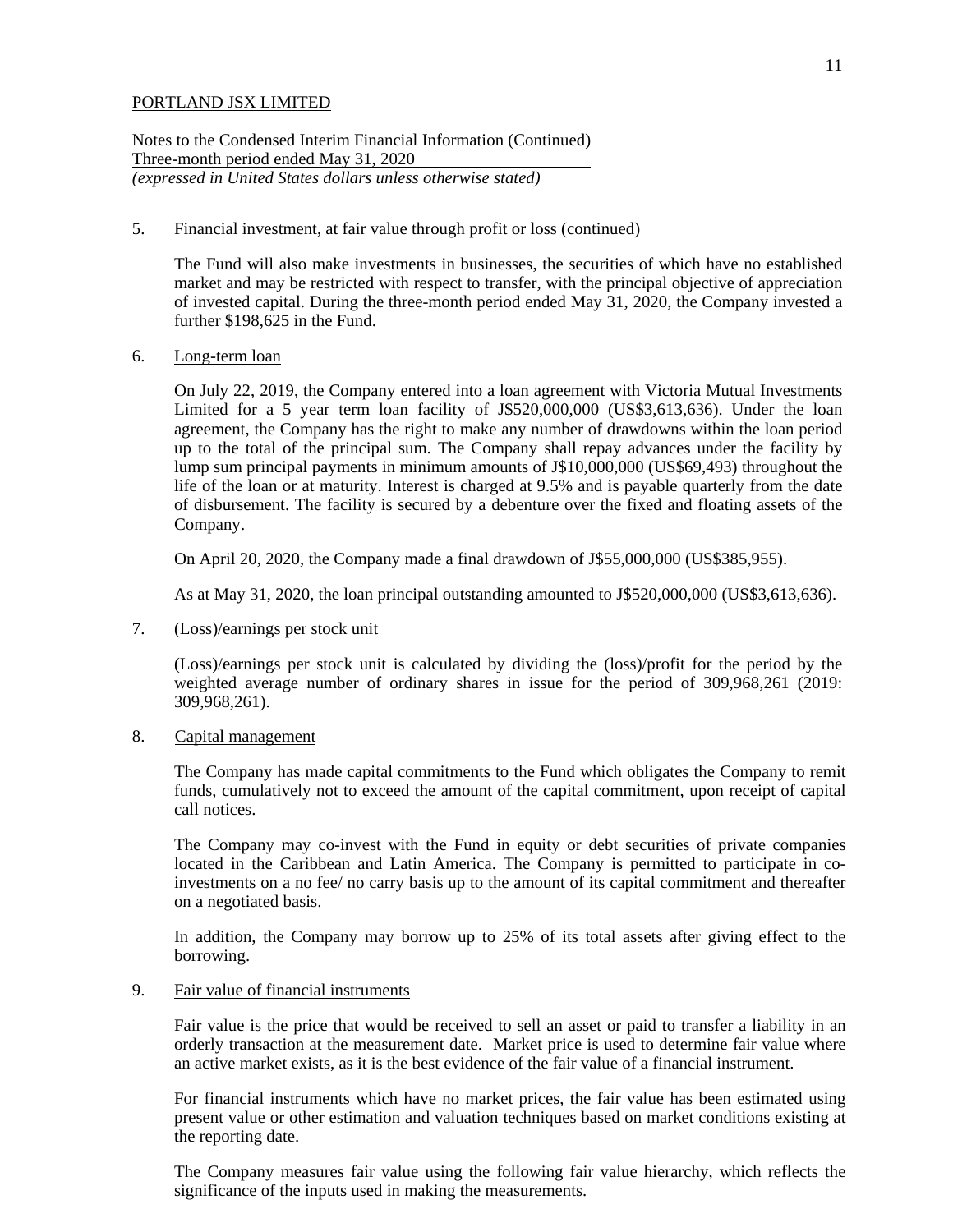Notes to the Condensed Interim Financial Information (Continued) Three-month period ended May 31, 2020 *(expressed in United States dollars unless otherwise stated)*

### 5. Financial investment, at fair value through profit or loss (continued)

The Fund will also make investments in businesses, the securities of which have no established market and may be restricted with respect to transfer, with the principal objective of appreciation of invested capital. During the three-month period ended May 31, 2020, the Company invested a further \$198,625 in the Fund.

#### 6. Long-term loan

On July 22, 2019, the Company entered into a loan agreement with Victoria Mutual Investments Limited for a 5 year term loan facility of J\$520,000,000 (US\$3,613,636). Under the loan agreement, the Company has the right to make any number of drawdowns within the loan period up to the total of the principal sum. The Company shall repay advances under the facility by lump sum principal payments in minimum amounts of J\$10,000,000 (US\$69,493) throughout the life of the loan or at maturity. Interest is charged at 9.5% and is payable quarterly from the date of disbursement. The facility is secured by a debenture over the fixed and floating assets of the Company.

On April 20, 2020, the Company made a final drawdown of J\$55,000,000 (US\$385,955).

As at May 31, 2020, the loan principal outstanding amounted to J\$520,000,000 (US\$3,613,636).

7. (Loss)/earnings per stock unit

(Loss)/earnings per stock unit is calculated by dividing the (loss)/profit for the period by the weighted average number of ordinary shares in issue for the period of 309,968,261 (2019: 309,968,261).

### 8. Capital management

The Company has made capital commitments to the Fund which obligates the Company to remit funds, cumulatively not to exceed the amount of the capital commitment, upon receipt of capital call notices.

The Company may co-invest with the Fund in equity or debt securities of private companies located in the Caribbean and Latin America. The Company is permitted to participate in coinvestments on a no fee/ no carry basis up to the amount of its capital commitment and thereafter on a negotiated basis.

In addition, the Company may borrow up to 25% of its total assets after giving effect to the borrowing.

### 9. Fair value of financial instruments

Fair value is the price that would be received to sell an asset or paid to transfer a liability in an orderly transaction at the measurement date. Market price is used to determine fair value where an active market exists, as it is the best evidence of the fair value of a financial instrument.

For financial instruments which have no market prices, the fair value has been estimated using present value or other estimation and valuation techniques based on market conditions existing at the reporting date.

The Company measures fair value using the following fair value hierarchy, which reflects the significance of the inputs used in making the measurements.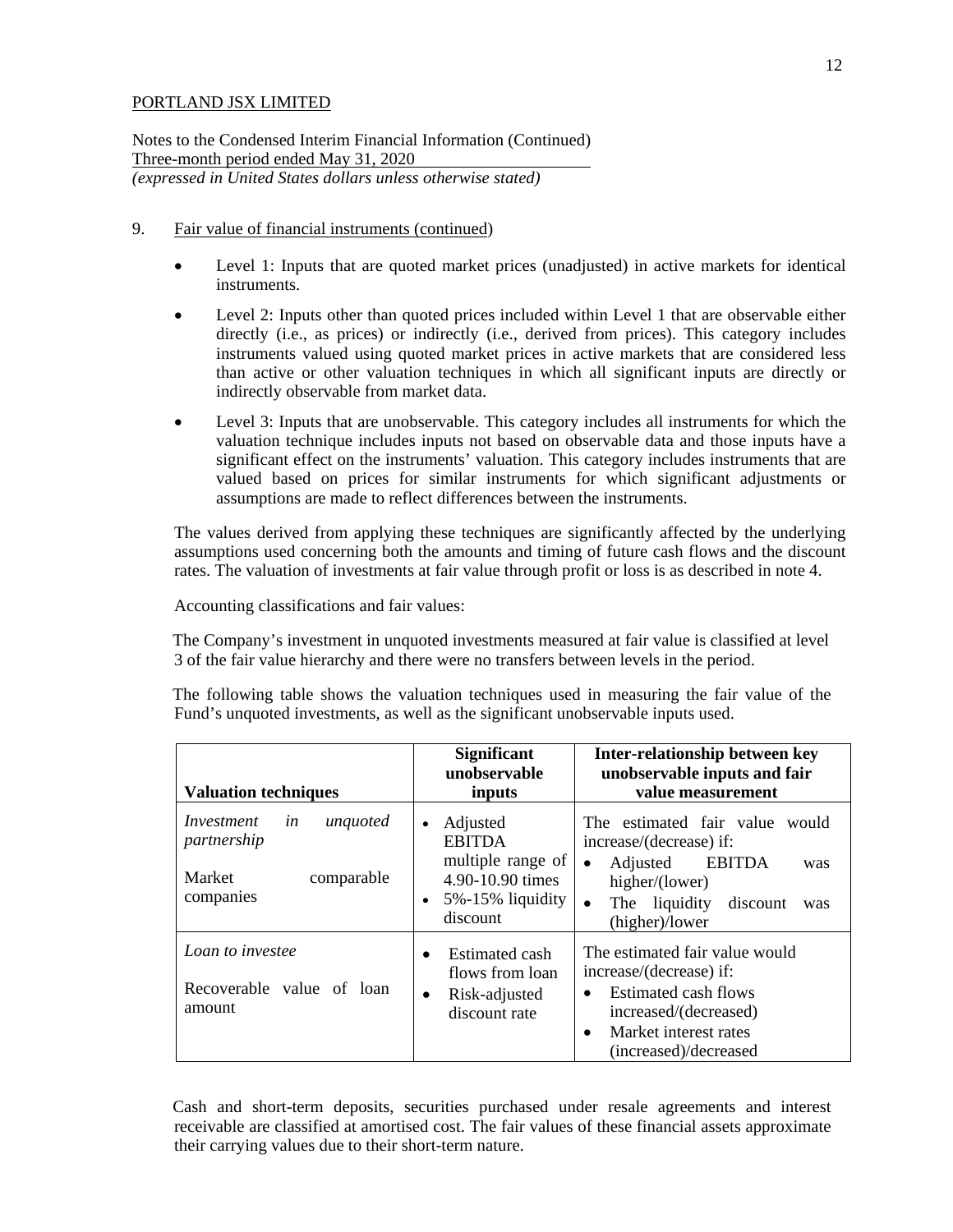Notes to the Condensed Interim Financial Information (Continued) Three-month period ended May 31, 2020 *(expressed in United States dollars unless otherwise stated)*

- 9. Fair value of financial instruments (continued)
	- Level 1: Inputs that are quoted market prices (unadjusted) in active markets for identical instruments.
	- Level 2: Inputs other than quoted prices included within Level 1 that are observable either directly (i.e., as prices) or indirectly (i.e., derived from prices). This category includes instruments valued using quoted market prices in active markets that are considered less than active or other valuation techniques in which all significant inputs are directly or indirectly observable from market data.
	- Level 3: Inputs that are unobservable. This category includes all instruments for which the valuation technique includes inputs not based on observable data and those inputs have a significant effect on the instruments' valuation. This category includes instruments that are valued based on prices for similar instruments for which significant adjustments or assumptions are made to reflect differences between the instruments.

The values derived from applying these techniques are significantly affected by the underlying assumptions used concerning both the amounts and timing of future cash flows and the discount rates. The valuation of investments at fair value through profit or loss is as described in note 4.

Accounting classifications and fair values:

The Company's investment in unquoted investments measured at fair value is classified at level 3 of the fair value hierarchy and there were no transfers between levels in the period.

The following table shows the valuation techniques used in measuring the fair value of the Fund's unquoted investments, as well as the significant unobservable inputs used.

| <b>Valuation techniques</b>                                                      | <b>Significant</b><br><b>Inter-relationship between key</b><br>unobservable<br>unobservable inputs and fair<br>value measurement<br>inputs |                                                                                                                                                                                          |  |
|----------------------------------------------------------------------------------|--------------------------------------------------------------------------------------------------------------------------------------------|------------------------------------------------------------------------------------------------------------------------------------------------------------------------------------------|--|
| unquoted<br>Investment<br>in<br>partnership<br>Market<br>comparable<br>companies | Adjusted<br>$\bullet$<br><b>EBITDA</b><br>multiple range of<br>4.90-10.90 times<br>$5\% - 15\%$ liquidity<br>discount                      | The estimated fair value would<br>increase/(decrease) if:<br>EBITDA<br>Adjusted<br>$\bullet$<br>was<br>higher/(lower)<br>The liquidity<br>discount<br>$\bullet$<br>was<br>(higher)/lower |  |
| Loan to investee<br>Recoverable value of loan<br>amount                          | Estimated cash<br>$\bullet$<br>flows from loan<br>Risk-adjusted<br>$\bullet$<br>discount rate                                              | The estimated fair value would<br>increase/(decrease) if:<br>Estimated cash flows<br>$\bullet$<br>increased/(decreased)<br>Market interest rates<br>$\bullet$<br>(increased)/decreased   |  |

Cash and short-term deposits, securities purchased under resale agreements and interest receivable are classified at amortised cost. The fair values of these financial assets approximate their carrying values due to their short-term nature.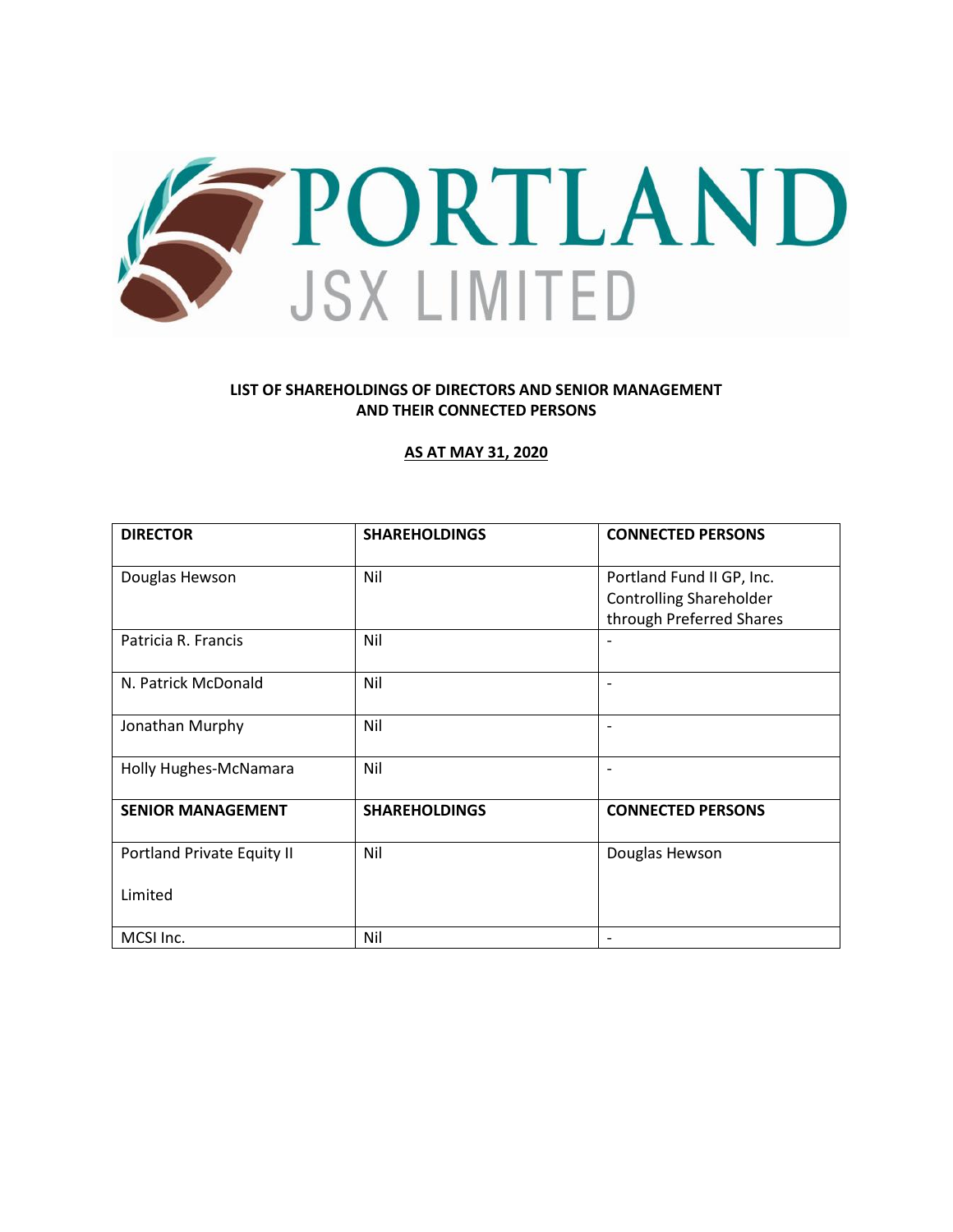

# **LIST OF SHAREHOLDINGS OF DIRECTORS AND SENIOR MANAGEMENT AND THEIR CONNECTED PERSONS**

### **AS AT MAY 31, 2020**

| <b>DIRECTOR</b>            | <b>SHAREHOLDINGS</b> | <b>CONNECTED PERSONS</b>                                    |
|----------------------------|----------------------|-------------------------------------------------------------|
| Douglas Hewson             | Nil                  | Portland Fund II GP, Inc.<br><b>Controlling Shareholder</b> |
|                            |                      | through Preferred Shares                                    |
| Patricia R. Francis        | Nil                  |                                                             |
| N. Patrick McDonald        | Nil                  |                                                             |
| Jonathan Murphy            | Nil                  |                                                             |
| Holly Hughes-McNamara      | Nil                  |                                                             |
| <b>SENIOR MANAGEMENT</b>   | <b>SHAREHOLDINGS</b> | <b>CONNECTED PERSONS</b>                                    |
| Portland Private Equity II | Nil                  | Douglas Hewson                                              |
| Limited                    |                      |                                                             |
| MCSI Inc.                  | Nil                  |                                                             |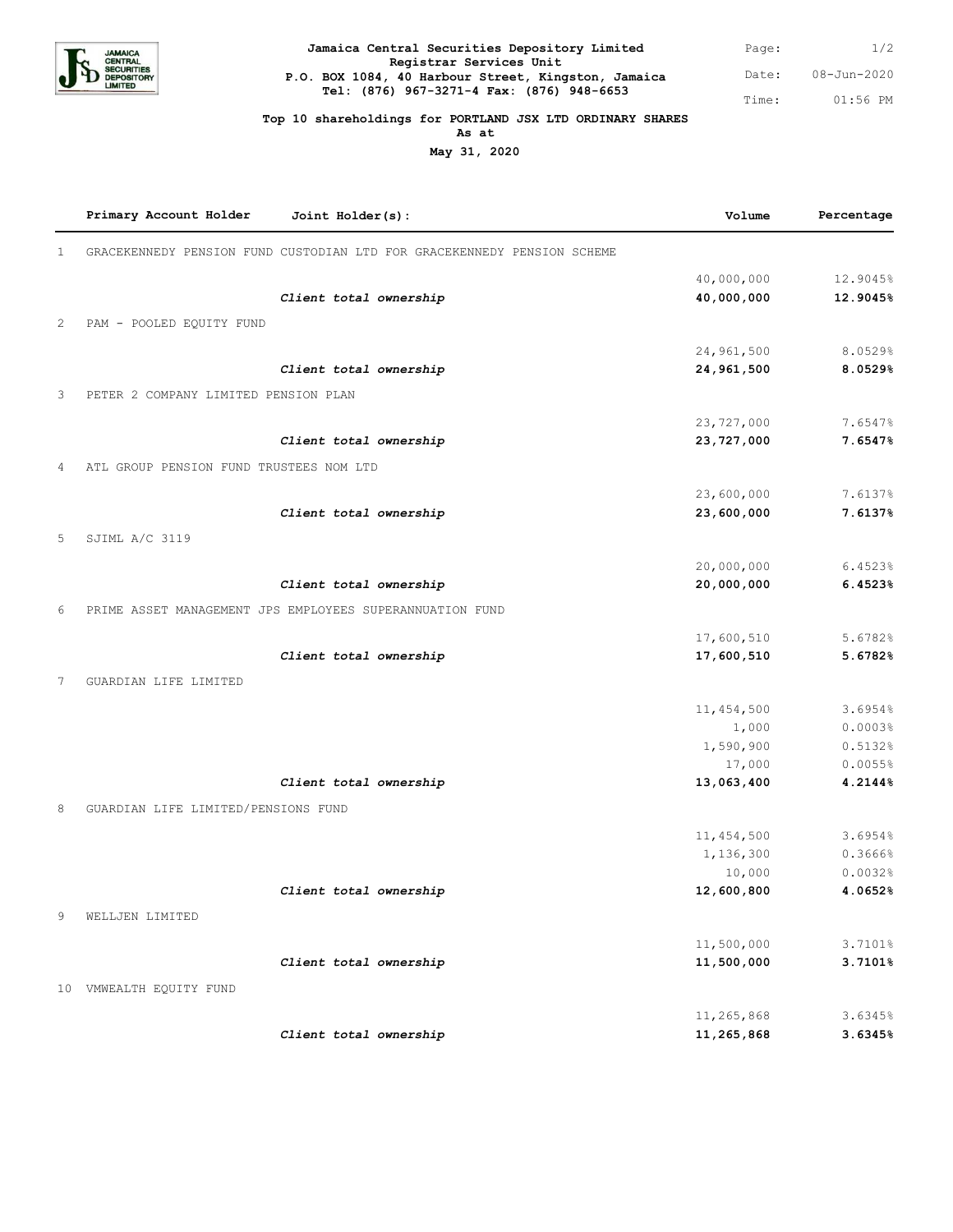

| Jamaica Central Securities Depository Limited                                  | Page: | 1/2         |
|--------------------------------------------------------------------------------|-------|-------------|
| Registrar Services Unit<br>P.O. BOX 1084, 40 Harbour Street, Kingston, Jamaica | Date: | 08-Jun-2020 |
| Tel: (876) 967-3271-4 Fax: (876) 948-6653                                      | Time: | 01:56 PM    |

#### **Top 10 shareholdings for PORTLAND JSX LTD ORDINARY SHARES**

**As at**

**May 31, 2020**

|              | Primary Account Holder                  | Joint Holder(s):                                                        | Volume       | Percentage |
|--------------|-----------------------------------------|-------------------------------------------------------------------------|--------------|------------|
| $\mathbf{1}$ |                                         | GRACEKENNEDY PENSION FUND CUSTODIAN LTD FOR GRACEKENNEDY PENSION SCHEME |              |            |
|              |                                         |                                                                         | 40,000,000   | 12.9045%   |
|              |                                         | Client total ownership                                                  | 40,000,000   | 12.9045%   |
| 2            | PAM - POOLED EQUITY FUND                |                                                                         |              |            |
|              |                                         |                                                                         | 24,961,500   | 8.0529%    |
|              |                                         | Client total ownership                                                  | 24,961,500   | 8.0529%    |
| 3            | PETER 2 COMPANY LIMITED PENSION PLAN    |                                                                         |              |            |
|              |                                         |                                                                         | 23,727,000   | 7.6547%    |
|              |                                         | Client total ownership                                                  | 23,727,000   | 7.6547%    |
| 4            | ATL GROUP PENSION FUND TRUSTEES NOM LTD |                                                                         |              |            |
|              |                                         |                                                                         |              |            |
|              |                                         |                                                                         | 23,600,000   | 7.6137%    |
|              |                                         | Client total ownership                                                  | 23,600,000   | 7.6137%    |
| 5            | SJIML A/C 3119                          |                                                                         |              |            |
|              |                                         |                                                                         | 20,000,000   | 6.4523%    |
|              |                                         | Client total ownership                                                  | 20,000,000   | 6.4523%    |
| 6            |                                         | PRIME ASSET MANAGEMENT JPS EMPLOYEES SUPERANNUATION FUND                |              |            |
|              |                                         |                                                                         | 17,600,510   | 5.6782%    |
|              |                                         | Client total ownership                                                  | 17,600,510   | 5.6782%    |
|              |                                         |                                                                         |              |            |
| 7            | GUARDIAN LIFE LIMITED                   |                                                                         |              |            |
|              |                                         |                                                                         | 11, 454, 500 | 3.6954%    |
|              |                                         |                                                                         | 1,000        | 0.0003%    |
|              |                                         |                                                                         | 1,590,900    | 0.5132%    |
|              |                                         |                                                                         | 17,000       | 0.0055%    |
|              |                                         | Client total ownership                                                  | 13,063,400   | 4.2144%    |
| 8            | GUARDIAN LIFE LIMITED/PENSIONS FUND     |                                                                         |              |            |
|              |                                         |                                                                         | 11,454,500   | 3.6954%    |
|              |                                         |                                                                         | 1,136,300    | 0.3666%    |
|              |                                         |                                                                         | 10,000       | 0.0032%    |
|              |                                         | Client total ownership                                                  | 12,600,800   | 4.0652%    |
| 9            | WELLJEN LIMITED                         |                                                                         |              |            |
|              |                                         |                                                                         | 11,500,000   | 3.7101%    |
|              |                                         | Client total ownership                                                  | 11,500,000   | 3.7101%    |
|              |                                         |                                                                         |              |            |
|              | 10 VMWEALTH EQUITY FUND                 |                                                                         |              |            |
|              |                                         |                                                                         | 11,265,868   | 3.6345%    |
|              |                                         | Client total ownership                                                  | 11,265,868   | 3.6345%    |